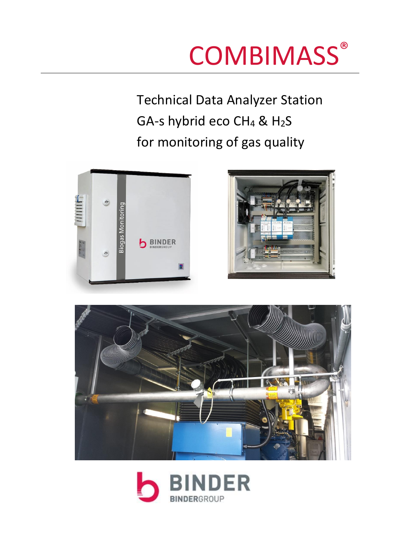# **COMBIMASS®**

Technical Data Analyzer Station GA-s hybrid eco  $CH_4$  &  $H_2S$ for monitoring of gas quality







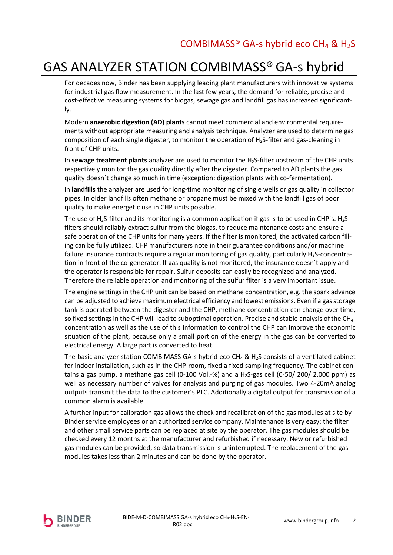# **GAS ANALYZER STATION COMBIMASS® GA-s hybrid**

For decades now, Binder has been supplying leading plant manufacturers with innovative systems for industrial gas flow measurement. In the last few years, the demand for reliable, precise and cost-effective measuring systems for biogas, sewage gas and landfill gas has increased significantly.

Modern anaerobic digestion (AD) plants cannot meet commercial and environmental requirements without appropriate measuring and analysis technique. Analyzer are used to determine gas composition of each single digester, to monitor the operation of H<sub>2</sub>S-filter and gas-cleaning in front of CHP units.

In sewage treatment plants analyzer are used to monitor the  $H_2S$ -filter upstream of the CHP units respectively monitor the gas quality directly after the digester. Compared to AD plants the gas quality doesn't change so much in time (exception: digestion plants with co-fermentation).

In landfills the analyzer are used for long-time monitoring of single wells or gas quality in collector pipes. In older landfills often methane or propane must be mixed with the landfill gas of poor quality to make energetic use in CHP units possible.

The use of H<sub>2</sub>S-filter and its monitoring is a common application if gas is to be used in CHP's. H<sub>2</sub>Sfilters should reliably extract sulfur from the biogas, to reduce maintenance costs and ensure a safe operation of the CHP units for many years. If the filter is monitored, the activated carbon filling can be fully utilized. CHP manufacturers note in their guarantee conditions and/or machine failure insurance contracts require a regular monitoring of gas quality, particularly H<sub>2</sub>S-concentration in front of the co-generator. If gas quality is not monitored, the insurance doesn't apply and the operator is responsible for repair. Sulfur deposits can easily be recognized and analyzed. Therefore the reliable operation and monitoring of the sulfur filter is a very important issue.

The engine settings in the CHP unit can be based on methane concentration, e.g. the spark advance can be adjusted to achieve maximum electrical efficiency and lowest emissions. Even if a gas storage tank is operated between the digester and the CHP, methane concentration can change over time, so fixed settings in the CHP will lead to suboptimal operation. Precise and stable analysis of the CH<sub>4</sub>concentration as well as the use of this information to control the CHP can improve the economic situation of the plant, because only a small portion of the energy in the gas can be converted to electrical energy. A large part is converted to heat.

The basic analyzer station COMBIMASS GA-s hybrid eco CH<sub>4</sub> & H<sub>2</sub>S consists of a ventilated cabinet for indoor installation, such as in the CHP-room, fixed a fixed sampling frequency. The cabinet contains a gas pump, a methane gas cell (0-100 Vol.-%) and a H<sub>2</sub>S-gas cell (0-50/200/2,000 ppm) as well as necessary number of valves for analysis and purging of gas modules. Two 4-20mA analog outputs transmit the data to the customer's PLC. Additionally a digital output for transmission of a common alarm is available.

A further input for calibration gas allows the check and recalibration of the gas modules at site by Binder service employees or an authorized service company. Maintenance is very easy: the filter and other small service parts can be replaced at site by the operator. The gas modules should be checked every 12 months at the manufacturer and refurbished if necessary. New or refurbished gas modules can be provided, so data transmission is uninterrupted. The replacement of the gas modules takes less than 2 minutes and can be done by the operator.

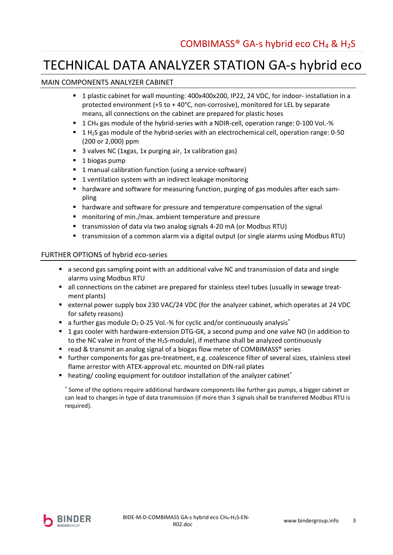## TECHNICAL DATA ANALYZER STATION GA-s hybrid eco

## MAIN COMPONENTS ANALYZER CABINET

- " 1 plastic cabinet for wall mounting: 400x400x200, IP22, 24 VDC, for indoor- installation in a protected environment (+5 to + 40°C, non-corrosive), monitored for LEL by separate means, all connections on the cabinet are prepared for plastic hoses
- 1 CH<sub>4</sub> gas module of the hybrid-series with a NDIR-cell, operation range: 0-100 Vol.-%
- **1** 1 H<sub>2</sub>S gas module of the hybrid-series with an electrochemical cell, operation range: 0-50 (200 or 2,000) ppm
- 3 valves NC (1xgas, 1x purging air, 1x calibration gas)
- $\blacksquare$  1 biogas pump
- 1 manual calibration function (using a service-software)
- 1 ventilation system with an indirect leakage monitoring  $\blacksquare$
- " hardware and software for measuring function, purging of gas modules after each sampling
- hardware and software for pressure and temperature compensation of the signal
- " monitoring of min./max. ambient temperature and pressure
- transmission of data via two analog signals 4-20 mA (or Modbus RTU)
- " transmission of a common alarm via a digital output (or single alarms using Modbus RTU)

### FURTHER OPTIONS of hybrid eco-series

- a second gas sampling point with an additional valve NC and transmission of data and single alarms using Modbus RTU
- all connections on the cabinet are prepared for stainless steel tubes (usually in sewage treatment plants)
- external power supply box 230 VAC/24 VDC (for the analyzer cabinet, which operates at 24 VDC for safety reasons)
- $\blacksquare$  a further gas module O<sub>2</sub> 0-25 Vol.-% for cyclic and/or continuously analysis<sup>\*</sup>
- " 1 gas cooler with hardware-extension DTG-GK, a second pump and one valve NO (in addition to to the NC valve in front of the  $H_2S$ -module), if methane shall be analyzed continuously
- read & transmit an analog signal of a biogas flow meter of COMBIMASS® series
- further components for gas pre-treatment, e.g. coalescence filter of several sizes, stainless steel flame arrestor with ATEX-approval etc. mounted on DIN-rail plates
- $\blacksquare$  heating/ cooling equipment for outdoor installation of the analyzer cabinet\*

\* Some of the options require additional hardware components like further gas pumps, a bigger cabinet or can lead to changes in type of data transmission (if more than 3 signals shall be transferred Modbus RTU is required).

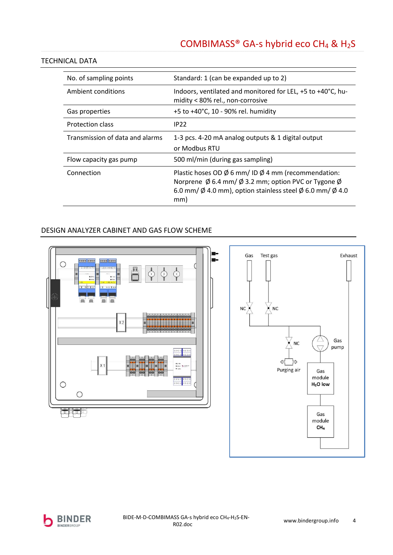## COMBIMASS® GA-s hybrid eco CH<sub>4</sub> & H<sub>2</sub>S

### **TECHNICAL DATA**

| No. of sampling points          | Standard: 1 (can be expanded up to 2)                                                                                                                                                                                                                          |
|---------------------------------|----------------------------------------------------------------------------------------------------------------------------------------------------------------------------------------------------------------------------------------------------------------|
| Ambient conditions              | Indoors, ventilated and monitored for LEL, +5 to +40°C, hu-<br>midity < 80% rel., non-corrosive                                                                                                                                                                |
| Gas properties                  | +5 to +40°C, 10 - 90% rel. humidity                                                                                                                                                                                                                            |
| Protection class                | <b>IP22</b>                                                                                                                                                                                                                                                    |
| Transmission of data and alarms | 1-3 pcs. 4-20 mA analog outputs & 1 digital output<br>or Modbus RTU                                                                                                                                                                                            |
| Flow capacity gas pump          | 500 ml/min (during gas sampling)                                                                                                                                                                                                                               |
| Connection                      | Plastic hoses OD $\emptyset$ 6 mm/ ID $\emptyset$ 4 mm (recommendation:<br>Norprene $\emptyset$ 6.4 mm/ $\emptyset$ 3.2 mm; option PVC or Tygone $\emptyset$<br>6.0 mm/ $\emptyset$ 4.0 mm), option stainless steel $\emptyset$ 6.0 mm/ $\emptyset$ 4.0<br>mm) |

## DESIGN ANALYZER CABINET AND GAS FLOW SCHEME